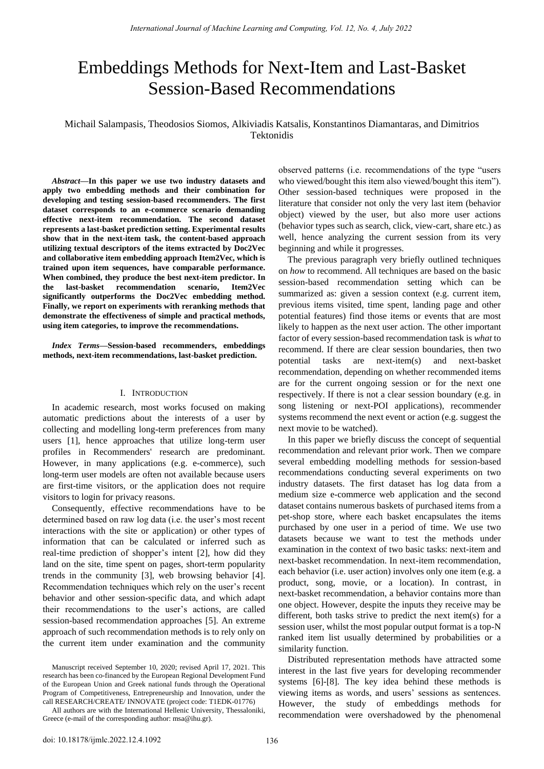# Embeddings Methods for Next-Item and Last-Basket Session-Based Recommendations

## Michail Salampasis, Theodosios Siomos, Alkiviadis Katsalis, Konstantinos Diamantaras, and Dimitrios Tektonidis

*Abstract***—In this paper we use two industry datasets and apply two embedding methods and their combination for developing and testing session-based recommenders. The first dataset corresponds to an e-commerce scenario demanding effective next-item recommendation. The second dataset represents a last-basket prediction setting. Experimental results show that in the next-item task, the content-based approach utilizing textual descriptors of the items extracted by Doc2Vec and collaborative item embedding approach Item2Vec, which is trained upon item sequences, have comparable performance. When combined, they produce the best next-item predictor. In the last-basket recommendation scenario, Item2Vec significantly outperforms the Doc2Vec embedding method. Finally, we report on experiments with reranking methods that demonstrate the effectiveness of simple and practical methods, using item categories, to improve the recommendations.** 

*Index Terms***—Session-based recommenders, embeddings methods, next-item recommendations, last-basket prediction.** 

#### I. INTRODUCTION

In academic research, most works focused on making automatic predictions about the interests of a user by collecting and modelling long-term preferences from many users [1], hence approaches that utilize long-term user profiles in Recommenders' research are predominant. However, in many applications (e.g. e-commerce), such long-term user models are often not available because users are first-time visitors, or the application does not require visitors to login for privacy reasons.

Consequently, effective recommendations have to be determined based on raw log data (i.e. the user's most recent interactions with the site or application) or other types of information that can be calculated or inferred such as real-time prediction of shopper's intent [2], how did they land on the site, time spent on pages, short-term popularity trends in the community [3], web browsing behavior [4]. Recommendation techniques which rely on the user's recent behavior and other session-specific data, and which adapt their recommendations to the user's actions, are called session-based recommendation approaches [5]. An extreme approach of such recommendation methods is to rely only on the current item under examination and the community observed patterns (i.e. recommendations of the type "users who viewed/bought this item also viewed/bought this item"). Other session-based techniques were proposed in the literature that consider not only the very last item (behavior object) viewed by the user, but also more user actions (behavior types such as search, click, view-cart, share etc.) as well, hence analyzing the current session from its very beginning and while it progresses.

The previous paragraph very briefly outlined techniques on *how* to recommend. All techniques are based on the basic session-based recommendation setting which can be summarized as: given a session context (e.g. current item, previous items visited, time spent, landing page and other potential features) find those items or events that are most likely to happen as the next user action. The other important factor of every session-based recommendation task is *what* to recommend. If there are clear session boundaries, then two potential tasks are next-item(s) and next-basket recommendation, depending on whether recommended items are for the current ongoing session or for the next one respectively. If there is not a clear session boundary (e.g. in song listening or next-POI applications), recommender systems recommend the next event or action (e.g. suggest the next movie to be watched).

In this paper we briefly discuss the concept of sequential recommendation and relevant prior work. Then we compare several embedding modelling methods for session-based recommendations conducting several experiments on two industry datasets. The first dataset has log data from a medium size e-commerce web application and the second dataset contains numerous baskets of purchased items from a pet-shop store, where each basket encapsulates the items purchased by one user in a period of time. We use two datasets because we want to test the methods under examination in the context of two basic tasks: next-item and next-basket recommendation. In next-item recommendation, each behavior (i.e. user action) involves only one item (e.g. a product, song, movie, or a location). In contrast, in next-basket recommendation, a behavior contains more than one object. However, despite the inputs they receive may be different, both tasks strive to predict the next item(s) for a session user, whilst the most popular output format is a top-N ranked item list usually determined by probabilities or a similarity function.

Distributed representation methods have attracted some interest in the last five years for developing recommender systems [6]-[8]. The key idea behind these methods is viewing items as words, and users' sessions as sentences. However, the study of embeddings methods for recommendation were overshadowed by the phenomenal

Manuscript received September 10, 2020; revised April 17, 2021. This research has been co-financed by the European Regional Development Fund of the European Union and Greek national funds through the Operational Program of Competitiveness, Entrepreneurship and Innovation, under the call RESEARCH/CREATE/ INNOVATE (project code: T1EDK-01776)

All authors are with the International Hellenic University, Thessaloniki, Greece (e-mail of the corresponding author: msa@ihu.gr).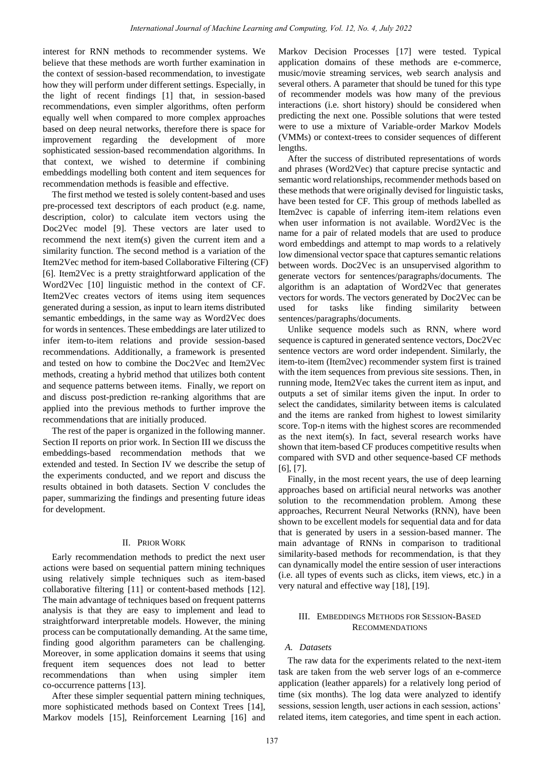interest for RNN methods to recommender systems. We believe that these methods are worth further examination in the context of session-based recommendation, to investigate how they will perform under different settings. Especially, in the light of recent findings [1] that, in session-based recommendations, even simpler algorithms, often perform equally well when compared to more complex approaches based on deep neural networks, therefore there is space for improvement regarding the development of more sophisticated session-based recommendation algorithms. In that context, we wished to determine if combining embeddings modelling both content and item sequences for recommendation methods is feasible and effective.

The first method we tested is solely content-based and uses pre-processed text descriptors of each product (e.g. name, description, color) to calculate item vectors using the Doc2Vec model [9]. These vectors are later used to recommend the next item(s) given the current item and a similarity function. The second method is a variation of the Item2Vec method for item-based Collaborative Filtering (CF) [6]. Item2Vec is a pretty straightforward application of the Word2Vec [10] linguistic method in the context of CF. Item2Vec creates vectors of items using item sequences generated during a session, as input to learn items distributed semantic embeddings, in the same way as Word2Vec does for words in sentences. These embeddings are later utilized to infer item-to-item relations and provide session-based recommendations. Additionally, a framework is presented and tested on how to combine the Doc2Vec and Item2Vec methods, creating a hybrid method that utilizes both content and sequence patterns between items. Finally, we report on and discuss post-prediction re-ranking algorithms that are applied into the previous methods to further improve the recommendations that are initially produced.

The rest of the paper is organized in the following manner. Section II reports on prior work. In Section III we discuss the embeddings-based recommendation methods that we extended and tested. In Section IV we describe the setup of the experiments conducted, and we report and discuss the results obtained in both datasets. Section V concludes the paper, summarizing the findings and presenting future ideas for development.

#### II. PRIOR WORK

Early recommendation methods to predict the next user actions were based on sequential pattern mining techniques using relatively simple techniques such as item-based collaborative filtering [11] or content-based methods [12]. The main advantage of techniques based on frequent patterns analysis is that they are easy to implement and lead to straightforward interpretable models. However, the mining process can be computationally demanding. At the same time, finding good algorithm parameters can be challenging. Moreover, in some application domains it seems that using frequent item sequences does not lead to better recommendations than when using simpler item co-occurrence patterns [13].

After these simpler sequential pattern mining techniques, more sophisticated methods based on Context Trees [14], Markov models [15], Reinforcement Learning [16] and Markov Decision Processes [17] were tested. Typical application domains of these methods are e-commerce, music/movie streaming services, web search analysis and several others. A parameter that should be tuned for this type of recommender models was how many of the previous interactions (i.e. short history) should be considered when predicting the next one. Possible solutions that were tested were to use a mixture of Variable-order Markov Models (VMMs) or context-trees to consider sequences of different lengths.

After the success of distributed representations of words and phrases (Word2Vec) that capture precise syntactic and semantic word relationships, recommender methods based on these methods that were originally devised for linguistic tasks, have been tested for CF. This group of methods labelled as Item2vec is capable of inferring item-item relations even when user information is not available. Word2Vec is the name for a pair of related models that are used to produce word embeddings and attempt to map words to a relatively low dimensional vector space that captures semantic relations between words. Doc2Vec is an unsupervised algorithm to generate vectors for sentences/paragraphs/documents. The algorithm is an adaptation of Word2Vec that generates vectors for words. The vectors generated by Doc2Vec can be used for tasks like finding similarity between sentences/paragraphs/documents.

Unlike sequence models such as RNN, where word sequence is captured in generated sentence vectors, Doc2Vec sentence vectors are word order independent. Similarly, the item-to-item (Item2vec) recommender system first is trained with the item sequences from previous site sessions. Then, in running mode, Item2Vec takes the current item as input, and outputs a set of similar items given the input. In order to select the candidates, similarity between items is calculated and the items are ranked from highest to lowest similarity score. Top-n items with the highest scores are recommended as the next item(s). In fact, several research works have shown that item-based CF produces competitive results when compared with SVD and other sequence-based CF methods [6], [7].

Finally, in the most recent years, the use of deep learning approaches based on artificial neural networks was another solution to the recommendation problem. Among these approaches, Recurrent Neural Networks (RNN), have been shown to be excellent models for sequential data and for data that is generated by users in a session-based manner. The main advantage of RNNs in comparison to traditional similarity-based methods for recommendation, is that they can dynamically model the entire session of user interactions (i.e. all types of events such as clicks, item views, etc.) in a very natural and effective way [18], [19].

## III. EMBEDDINGS METHODS FOR SESSION-BASED **RECOMMENDATIONS**

## *A. Datasets*

The raw data for the experiments related to the next-item task are taken from the web server logs of an e-commerce application (leather apparels) for a relatively long period of time (six months). The log data were analyzed to identify sessions, session length, user actions in each session, actions' related items, item categories, and time spent in each action.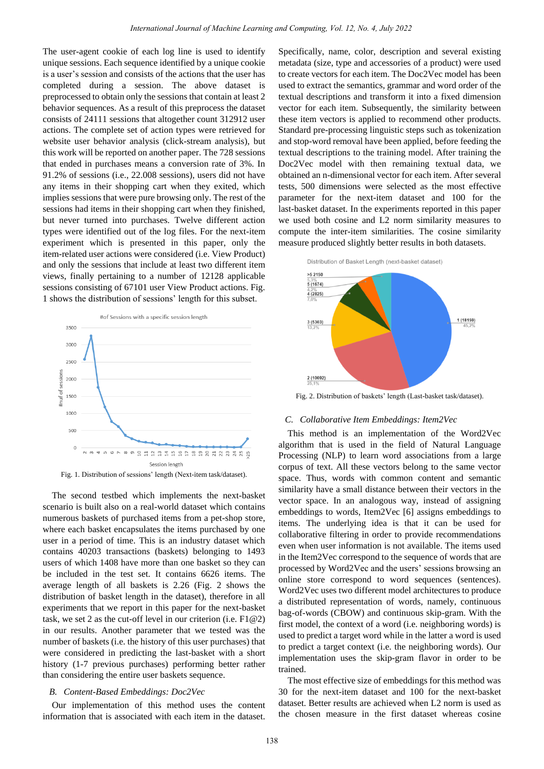The user-agent cookie of each log line is used to identify unique sessions. Each sequence identified by a unique cookie is a user's session and consists of the actions that the user has completed during a session. The above dataset is preprocessed to obtain only the sessions that contain at least 2 behavior sequences. As a result of this preprocess the dataset consists of 24111 sessions that altogether count 312912 user actions. The complete set of action types were retrieved for website user behavior analysis (click-stream analysis), but this work will be reported on another paper. The 728 sessions that ended in purchases means a conversion rate of 3%. In 91.2% of sessions (i.e., 22.008 sessions), users did not have any items in their shopping cart when they exited, which implies sessions that were pure browsing only. The rest of the sessions had items in their shopping cart when they finished, but never turned into purchases. Twelve different action types were identified out of the log files. For the next-item experiment which is presented in this paper, only the item-related user actions were considered (i.e. View Product) and only the sessions that include at least two different item views, finally pertaining to a number of 12128 applicable sessions consisting of 67101 user View Product actions. Fig. 1 shows the distribution of sessions' length for this subset.



The second testbed which implements the next-basket scenario is built also on a real-world dataset which contains numerous baskets of purchased items from a pet-shop store, where each basket encapsulates the items purchased by one user in a period of time. This is an industry dataset which contains 40203 transactions (baskets) belonging to 1493 users of which 1408 have more than one basket so they can be included in the test set. It contains 6626 items. The average length of all baskets is 2.26 (Fig. 2 shows the distribution of basket length in the dataset), therefore in all experiments that we report in this paper for the next-basket task, we set 2 as the cut-off level in our criterion (i.e. F1@2) in our results. Another parameter that we tested was the number of baskets (i.e. the history of this user purchases) that were considered in predicting the last-basket with a short history (1-7 previous purchases) performing better rather than considering the entire user baskets sequence.

#### *B. Content-Based Embeddings: Doc2Vec*

Our implementation of this method uses the content information that is associated with each item in the dataset.

Specifically, name, color, description and several existing metadata (size, type and accessories of a product) were used to create vectors for each item. The Doc2Vec model has been used to extract the semantics, grammar and word order of the textual descriptions and transform it into a fixed dimension vector for each item. Subsequently, the similarity between these item vectors is applied to recommend other products. Standard pre-processing linguistic steps such as tokenization and stop-word removal have been applied, before feeding the textual descriptions to the training model. After training the Doc2Vec model with then remaining textual data, we obtained an n-dimensional vector for each item. After several tests, 500 dimensions were selected as the most effective parameter for the next-item dataset and 100 for the last-basket dataset. In the experiments reported in this paper we used both cosine and L2 norm similarity measures to compute the inter-item similarities. The cosine similarity measure produced slightly better results in both datasets.





Fig. 2. Distribution of baskets' length (Last-basket task/dataset).

## *C. Collaborative Item Embeddings: Item2Vec*

This method is an implementation of the Word2Vec algorithm that is used in the field of Natural Language Processing (NLP) to learn word associations from a large corpus of text. All these vectors belong to the same vector space. Thus, words with common content and semantic similarity have a small distance between their vectors in the vector space. In an analogous way, instead of assigning embeddings to words, Item2Vec [6] assigns embeddings to items. The underlying idea is that it can be used for collaborative filtering in order to provide recommendations even when user information is not available. The items used in the Item2Vec correspond to the sequence of words that are processed by Word2Vec and the users' sessions browsing an online store correspond to word sequences (sentences). Word2Vec uses two different model architectures to produce a distributed representation of words, namely, continuous bag-of-words (CBOW) and continuous skip-gram. With the first model, the context of a word (i.e. neighboring words) is used to predict a target word while in the latter a word is used to predict a target context (i.e. the neighboring words). Our implementation uses the skip-gram flavor in order to be trained.

The most effective size of embeddings for this method was 30 for the next-item dataset and 100 for the next-basket dataset. Better results are achieved when L2 norm is used as the chosen measure in the first dataset whereas cosine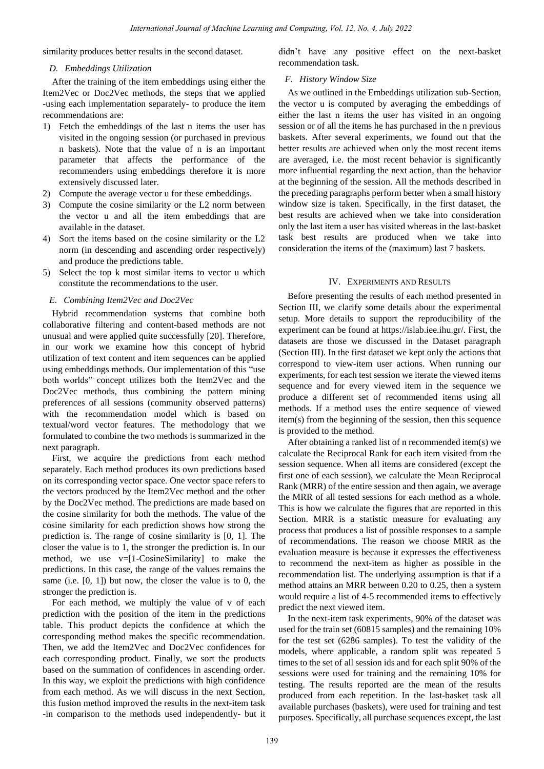similarity produces better results in the second dataset.

#### *D. Embeddings Utilization*

After the training of the item embeddings using either the Item2Vec or Doc2Vec methods, the steps that we applied -using each implementation separately- to produce the item recommendations are:

- 1) Fetch the embeddings of the last n items the user has visited in the ongoing session (or purchased in previous n baskets). Note that the value of n is an important parameter that affects the performance of the recommenders using embeddings therefore it is more extensively discussed later.
- 2) Compute the average vector u for these embeddings.
- 3) Compute the cosine similarity or the L2 norm between the vector u and all the item embeddings that are available in the dataset.
- 4) Sort the items based on the cosine similarity or the L2 norm (in descending and ascending order respectively) and produce the predictions table.
- 5) Select the top k most similar items to vector u which constitute the recommendations to the user.

## *E. Combining Item2Vec and Doc2Vec*

Hybrid recommendation systems that combine both collaborative filtering and content-based methods are not unusual and were applied quite successfully [20]. Therefore, in our work we examine how this concept of hybrid utilization of text content and item sequences can be applied using embeddings methods. Our implementation of this "use both worlds" concept utilizes both the Item2Vec and the Doc2Vec methods, thus combining the pattern mining preferences of all sessions (community observed patterns) with the recommendation model which is based on textual/word vector features. The methodology that we formulated to combine the two methods is summarized in the next paragraph.

First, we acquire the predictions from each method separately. Each method produces its own predictions based on its corresponding vector space. One vector space refers to the vectors produced by the Item2Vec method and the other by the Doc2Vec method. The predictions are made based on the cosine similarity for both the methods. The value of the cosine similarity for each prediction shows how strong the prediction is. The range of cosine similarity is [0, 1]. The closer the value is to 1, the stronger the prediction is. In our method, we use v=[1-CosineSimilarity] to make the predictions. In this case, the range of the values remains the same (i.e. [0, 1]) but now, the closer the value is to 0, the stronger the prediction is.

For each method, we multiply the value of v of each prediction with the position of the item in the predictions table. This product depicts the confidence at which the corresponding method makes the specific recommendation. Then, we add the Item2Vec and Doc2Vec confidences for each corresponding product. Finally, we sort the products based on the summation of confidences in ascending order. In this way, we exploit the predictions with high confidence from each method. As we will discuss in the next Section, this fusion method improved the results in the next-item task -in comparison to the methods used independently- but it didn't have any positive effect on the next-basket recommendation task.

## *F. History Window Size*

As we outlined in the Embeddings utilization sub-Section, the vector u is computed by averaging the embeddings of either the last n items the user has visited in an ongoing session or of all the items he has purchased in the n previous baskets. After several experiments, we found out that the better results are achieved when only the most recent items are averaged, i.e. the most recent behavior is significantly more influential regarding the next action, than the behavior at the beginning of the session. All the methods described in the preceding paragraphs perform better when a small history window size is taken. Specifically, in the first dataset, the best results are achieved when we take into consideration only the last item a user has visited whereas in the last-basket task best results are produced when we take into consideration the items of the (maximum) last 7 baskets.

## IV. EXPERIMENTS AND RESULTS

Before presenting the results of each method presented in Section III, we clarify some details about the experimental setup. More details to support the reproducibility of the experiment can be found at https://islab.iee.ihu.gr/. First, the datasets are those we discussed in the Dataset paragraph (Section III). In the first dataset we kept only the actions that correspond to view-item user actions. When running our experiments, for each test session we iterate the viewed items sequence and for every viewed item in the sequence we produce a different set of recommended items using all methods. If a method uses the entire sequence of viewed item(s) from the beginning of the session, then this sequence is provided to the method.

After obtaining a ranked list of n recommended item(s) we calculate the Reciprocal Rank for each item visited from the session sequence. When all items are considered (except the first one of each session), we calculate the Mean Reciprocal Rank (MRR) of the entire session and then again, we average the MRR of all tested sessions for each method as a whole. This is how we calculate the figures that are reported in this Section. MRR is a statistic measure for evaluating any process that produces a list of possible responses to a sample of recommendations. The reason we choose MRR as the evaluation measure is because it expresses the effectiveness to recommend the next-item as higher as possible in the recommendation list. The underlying assumption is that if a method attains an MRR between 0.20 to 0.25, then a system would require a list of 4-5 recommended items to effectively predict the next viewed item.

In the next-item task experiments, 90% of the dataset was used for the train set (60815 samples) and the remaining 10% for the test set (6286 samples). To test the validity of the models, where applicable, a random split was repeated 5 times to the set of all session ids and for each split 90% of the sessions were used for training and the remaining 10% for testing. The results reported are the mean of the results produced from each repetition. In the last-basket task all available purchases (baskets), were used for training and test purposes. Specifically, all purchase sequences except, the last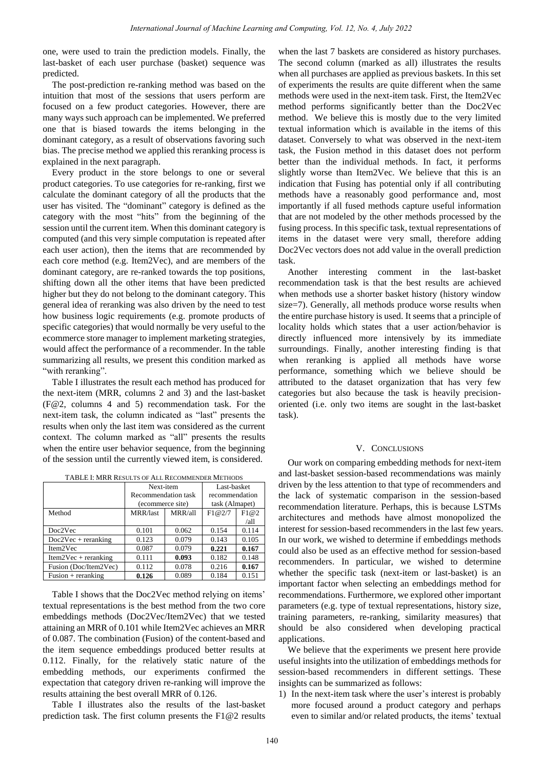one, were used to train the prediction models. Finally, the last-basket of each user purchase (basket) sequence was predicted.

The post-prediction re-ranking method was based on the intuition that most of the sessions that users perform are focused on a few product categories. However, there are many ways such approach can be implemented. We preferred one that is biased towards the items belonging in the dominant category, as a result of observations favoring such bias. The precise method we applied this reranking process is explained in the next paragraph.

Every product in the store belongs to one or several product categories. To use categories for re-ranking, first we calculate the dominant category of all the products that the user has visited. The "dominant" category is defined as the category with the most "hits" from the beginning of the session until the current item. When this dominant category is computed (and this very simple computation is repeated after each user action), then the items that are recommended by each core method (e.g. Item2Vec), and are members of the dominant category, are re-ranked towards the top positions, shifting down all the other items that have been predicted higher but they do not belong to the dominant category. This general idea of reranking was also driven by the need to test how business logic requirements (e.g. promote products of specific categories) that would normally be very useful to the ecommerce store manager to implement marketing strategies, would affect the performance of a recommender. In the table summarizing all results, we present this condition marked as "with reranking".

Table I illustrates the result each method has produced for the next-item (MRR, columns 2 and 3) and the last-basket (F@2, columns 4 and 5) recommendation task. For the next-item task, the column indicated as "last" presents the results when only the last item was considered as the current context. The column marked as "all" presents the results when the entire user behavior sequence, from the beginning of the session until the currently viewed item, is considered.

| н шен ниммерен он теклемичелей интирг |                     |         |                |       |
|---------------------------------------|---------------------|---------|----------------|-------|
|                                       | Next-item           |         | Last-basket    |       |
|                                       | Recommendation task |         | recommendation |       |
|                                       | (ecommerce site)    |         | task (Almapet) |       |
| Method                                | MRR/last            | MRR/all | F1@2/7         | F1@2  |
|                                       |                     |         |                | /all  |
| Doc2Vec                               | 0.101               | 0.062   | 0.154          | 0.114 |
| $Doc2Vec + reranking$                 | 0.123               | 0.079   | 0.143          | 0.105 |
| Item2Vec                              | 0.087               | 0.079   | 0.221          | 0.167 |
| $Item2Vec + reranking$                | 0.111               | 0.093   | 0.182          | 0.148 |
| Fusion (Doc/Item2Vec)                 | 0.112               | 0.078   | 0.216          | 0.167 |
| Fusion $+$ reranking                  | 0.126               | 0.089   | 0.184          | 0.151 |

TABLE I: MRR RESULTS OF ALL RECOMMENDER METHODS

Table I shows that the Doc2Vec method relying on items' textual representations is the best method from the two core embeddings methods (Doc2Vec/Item2Vec) that we tested attaining an MRR of 0.101 while Item2Vec achieves an MRR of 0.087. The combination (Fusion) of the content-based and the item sequence embeddings produced better results at 0.112. Finally, for the relatively static nature of the embedding methods, our experiments confirmed the expectation that category driven re-ranking will improve the results attaining the best overall MRR of 0.126.

Table I illustrates also the results of the last-basket prediction task. The first column presents the F1@2 results

when the last 7 baskets are considered as history purchases. The second column (marked as all) illustrates the results when all purchases are applied as previous baskets. In this set of experiments the results are quite different when the same methods were used in the next-item task. First, the Item2Vec method performs significantly better than the Doc2Vec method. We believe this is mostly due to the very limited textual information which is available in the items of this dataset. Conversely to what was observed in the next-item task, the Fusion method in this dataset does not perform better than the individual methods. In fact, it performs slightly worse than Item2Vec. We believe that this is an indication that Fusing has potential only if all contributing methods have a reasonably good performance and, most importantly if all fused methods capture useful information that are not modeled by the other methods processed by the fusing process. In this specific task, textual representations of items in the dataset were very small, therefore adding Doc2Vec vectors does not add value in the overall prediction task.

Another interesting comment in the last-basket recommendation task is that the best results are achieved when methods use a shorter basket history (history window size=7). Generally, all methods produce worse results when the entire purchase history is used. It seems that a principle of locality holds which states that a user action/behavior is directly influenced more intensively by its immediate surroundings. Finally, another interesting finding is that when reranking is applied all methods have worse performance, something which we believe should be attributed to the dataset organization that has very few categories but also because the task is heavily precisionoriented (i.e. only two items are sought in the last-basket task).

#### V. CONCLUSIONS

Our work on comparing embedding methods for next-item and last-basket session-based recommendations was mainly driven by the less attention to that type of recommenders and the lack of systematic comparison in the session-based recommendation literature. Perhaps, this is because LSTMs architectures and methods have almost monopolized the interest for session-based recommenders in the last few years. In our work, we wished to determine if embeddings methods could also be used as an effective method for session-based recommenders. In particular, we wished to determine whether the specific task (next-item or last-basket) is an important factor when selecting an embeddings method for recommendations. Furthermore, we explored other important parameters (e.g. type of textual representations, history size, training parameters, re-ranking, similarity measures) that should be also considered when developing practical applications.

We believe that the experiments we present here provide useful insights into the utilization of embeddings methods for session-based recommenders in different settings. These insights can be summarized as follows:

1) In the next-item task where the user's interest is probably more focused around a product category and perhaps even to similar and/or related products, the items' textual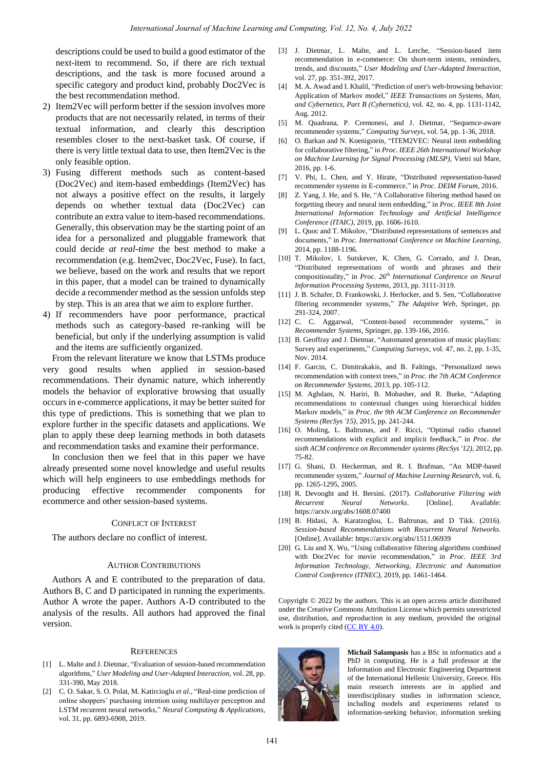descriptions could be used to build a good estimator of the next-item to recommend. So, if there are rich textual descriptions, and the task is more focused around a specific category and product kind, probably Doc2Vec is the best recommendation method.

- 2) Item2Vec will perform better if the session involves more products that are not necessarily related, in terms of their textual information, and clearly this description resembles closer to the next-basket task. Of course, if there is very little textual data to use, then Item2Vec is the only feasible option.
- 3) Fusing different methods such as content-based (Doc2Vec) and item-based embeddings (Item2Vec) has not always a positive effect on the results, it largely depends on whether textual data (Doc2Vec) can contribute an extra value to item-based recommendations. Generally, this observation may be the starting point of an idea for a personalized and pluggable framework that could decide *at real-time* the best method to make a recommendation (e.g. Item2vec, Doc2Vec, Fuse). In fact, we believe, based on the work and results that we report in this paper, that a model can be trained to dynamically decide a recommender method as the session unfolds step by step. This is an area that we aim to explore further.
- 4) If recommenders have poor performance, practical methods such as category-based re-ranking will be beneficial, but only if the underlying assumption is valid and the items are sufficiently organized.

From the relevant literature we know that LSTMs produce very good results when applied in session-based recommendations. Their dynamic nature, which inherently models the behavior of explorative browsing that usually occurs in e-commerce applications, it may be better suited for this type of predictions. This is something that we plan to explore further in the specific datasets and applications. We plan to apply these deep learning methods in both datasets and recommendation tasks and examine their performance.

In conclusion then we feel that in this paper we have already presented some novel knowledge and useful results which will help engineers to use embeddings methods for producing effective recommender components for ecommerce and other session-based systems.

## CONFLICT OF INTEREST

The authors declare no conflict of interest.

#### AUTHOR CONTRIBUTIONS

Authors A and E contributed to the preparation of data. Authors B, C and D participated in running the experiments. Author A wrote the paper. Authors A-D contributed to the analysis of the results. All authors had approved the final version.

#### **REFERENCES**

- [1] L. Malte and J. Dietmar, "Evaluation of session-based recommendation algorithms," *User Modeling and User-Adapted Interaction*, vol. 28, pp. 331-390, May 2018.
- [2] C. O. Sakar, S. O. Polat, M. Katircioglu *et al*., "Real-time prediction of online shoppers' purchasing intention using multilayer perceptron and LSTM recurrent neural networks," *Neural Computing & Applications*, vol. 31, pp. 6893-6908, 2019.
- [3] J. Dietmar, L. Malte, and L. Lerche, "Session-based item recommendation in e-commerce: On short-term intents, reminders, trends, and discounts," *User Modeling and User-Adapted Interaction*, vol. 27, pp. 351-392, 2017.
- [4] M. A. Awad and I. Khalil, "Prediction of user's web-browsing behavior: Application of Markov model," *IEEE Transactions on Systems, Man, and Cybernetics, Part B (Cybernetics)*, vol. 42, no. 4, pp. 1131-1142, Aug. 2012.
- [5] M. Quadrana, P. Cremonesi, and J. Dietmar, "Sequence-aware recommender systems," *Computing Surveys*, vol. 54, pp. 1-36, 2018.
- [6] O. Barkan and N. Koenigstein, "ITEM2VEC: Neural item embedding for collaborative filtering," in *Proc. IEEE 26th International Workshop on Machine Learning for Signal Processing (MLSP)*, Vietri sul Mare, 2016, pp. 1-6.
- [7] V. Phi, L. Chen, and Y. Hirate, "Distributed representation-based recommender systems in E-commerce," in *Proc. DEIM Forum*, 2016.
- [8] Z. Yang, J. He, and S. He, "A Collaborative filtering method based on forgetting theory and neural item embedding," in *Proc. IEEE 8th Joint International Information Technology and Artificial Intelligence Conference (ITAIC)*, 2019, pp. 1606-1610.
- [9] L. Quoc and T. Mikolov, "Distributed representations of sentences and documents," in *Proc. International Conference on Machine Learning*, 2014, pp. 1188-1196.
- [10] T. Mikolov, I. Sutskever, K. Chen, G. Corrado, and J. Dean, "Distributed representations of words and phrases and their compositionality," in *Proc. 26th International Conference on Neural Information Processing Systems*, 2013, pp. 3111-3119.
- [11] J. B. Schafer, D. Frankowski, J. Herlocker, and S. Sen, "Collaborative filtering recommender systems," *The Adaptive Web,* Springer, pp. 291-324, 2007.
- [12] C. C. Aggarwal, "Content-based recommender systems," in *Recommender Systems*, Springer, pp. 139-166, 2016.
- [13] B. Geoffray and J. Dietmar, "Automated generation of music playlists: Survey and experiments," *Computing Surveys*, vol. 47, no. 2, pp. 1-35, Nov. 2014.
- [14] F. Garcin, C. Dimitrakakis, and B. Faltings, "Personalized news recommendation with context trees," in *Proc. the 7th ACM Conference on Recommender Systems*, 2013, pp. 105-112.
- [15] M. Aghdam, N. Hariri, B. Mobasher, and R. Burke, "Adapting recommendations to contextual changes using hierarchical hidden Markov models," in *Proc. the 9th ACM Conference on Recommender Systems (RecSys '15)*, 2015, pp. 241-244.
- [16] O. Moling, L. Baltrunas, and F. Ricci, "Optimal radio channel recommendations with explicit and implicit feedback," in *Proc. the sixth ACM conference on Recommender systems (RecSys '12),* 2012, pp. 75-82.
- [17] G. Shani, D. Heckerman, and R. I. Brafman, "An MDP-based recommender system," *Journal of Machine Learning Research*, vol. 6, pp. 1265-1295, 2005.
- [18] R. Devooght and H. Bersini. (2017). *Collaborative Filtering with Recurrent Neural Networks*. [Online]. Available: <https://arxiv.org/abs/1608.07400>
- [19] B. Hidasi, A. Karatzoglou, L. Baltrunas, and D Tikk. (2016). *Session-based Recommendations with Recurrent Neural Networks.* [Online]. Available: https://arxiv.org/abs/1511.06939
- [20] G. Liu and X. Wu, "Using collaborative filtering algorithms combined with Doc2Vec for movie recommendation," in *Proc. IEEE 3rd Information Technology, Networking, Electronic and Automation Control Conference (ITNEC)*, 2019, pp. 1461-1464.

Copyright © 2022 by the authors. This is an open access article distributed under the Creative Commons Attribution License which permits unrestricted use, distribution, and reproduction in any medium, provided the original work is properly cited  $(CC BY 4.0)$ .



**Michail Salampasis** has a BSc in informatics and a PhD in computing. He is a full professor at the Information and Electronic Engineering Department of the International Hellenic University, Greece. His main research interests are in applied and interdisciplinary studies in information science, including models and experiments related to information-seeking behavior, information seeking